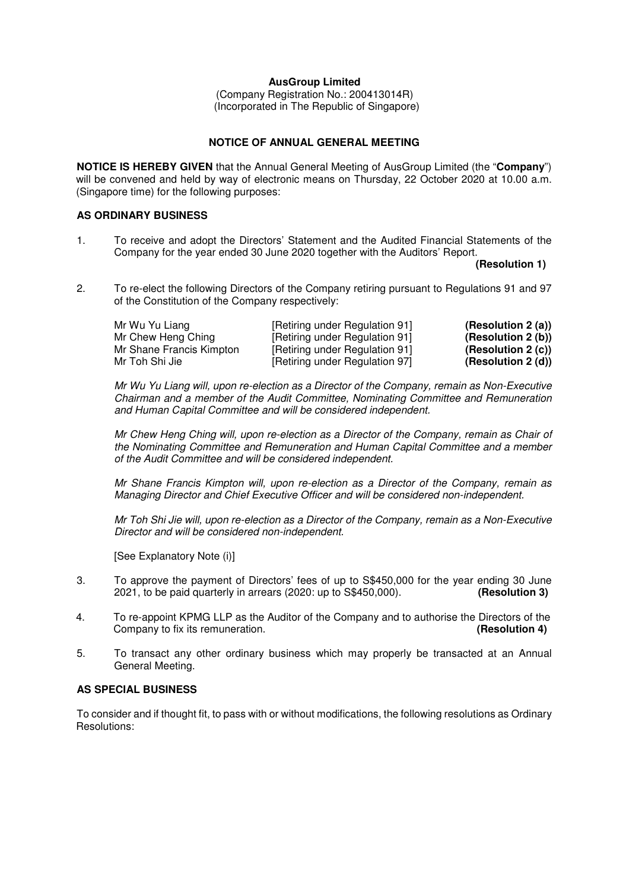# **AusGroup Limited**

(Company Registration No.: 200413014R) (Incorporated in The Republic of Singapore)

# **NOTICE OF ANNUAL GENERAL MEETING**

**NOTICE IS HEREBY GIVEN** that the Annual General Meeting of AusGroup Limited (the "**Company**") will be convened and held by way of electronic means on Thursday, 22 October 2020 at 10.00 a.m. (Singapore time) for the following purposes:

# **AS ORDINARY BUSINESS**

1. To receive and adopt the Directors' Statement and the Audited Financial Statements of the Company for the year ended 30 June 2020 together with the Auditors' Report.

 **(Resolution 1)** 

2. To re-elect the following Directors of the Company retiring pursuant to Regulations 91 and 97 of the Constitution of the Company respectively:

| Mr Wu Yu Liang           | [Retiring under Regulation 91] | (Resolution $2(a)$ ) |
|--------------------------|--------------------------------|----------------------|
| Mr Chew Heng Ching       | [Retiring under Regulation 91] | (Resolution 2 (b))   |
| Mr Shane Francis Kimpton | [Retiring under Regulation 91] | (Resolution 2(c))    |
| Mr Toh Shi Jie           | [Retiring under Regulation 97] | (Resolution 2(d))    |

 Mr Wu Yu Liang will, upon re-election as a Director of the Company, remain as Non-Executive Chairman and a member of the Audit Committee, Nominating Committee and Remuneration and Human Capital Committee and will be considered independent.

Mr Chew Heng Ching will, upon re-election as a Director of the Company, remain as Chair of the Nominating Committee and Remuneration and Human Capital Committee and a member of the Audit Committee and will be considered independent.

Mr Shane Francis Kimpton will, upon re-election as a Director of the Company, remain as Managing Director and Chief Executive Officer and will be considered non-independent.

Mr Toh Shi Jie will, upon re-election as a Director of the Company, remain as a Non-Executive Director and will be considered non-independent.

[See Explanatory Note (i)]

- 3. To approve the payment of Directors' fees of up to S\$450,000 for the year ending 30 June 2021, to be paid quarterly in arrears (2020: up to S\$450,000). **(Resolution 3)**
- 4. To re-appoint KPMG LLP as the Auditor of the Company and to authorise the Directors of the Company company to fix its remuneration. Company to fix its remuneration.
- 5. To transact any other ordinary business which may properly be transacted at an Annual General Meeting.

## **AS SPECIAL BUSINESS**

To consider and if thought fit, to pass with or without modifications, the following resolutions as Ordinary Resolutions: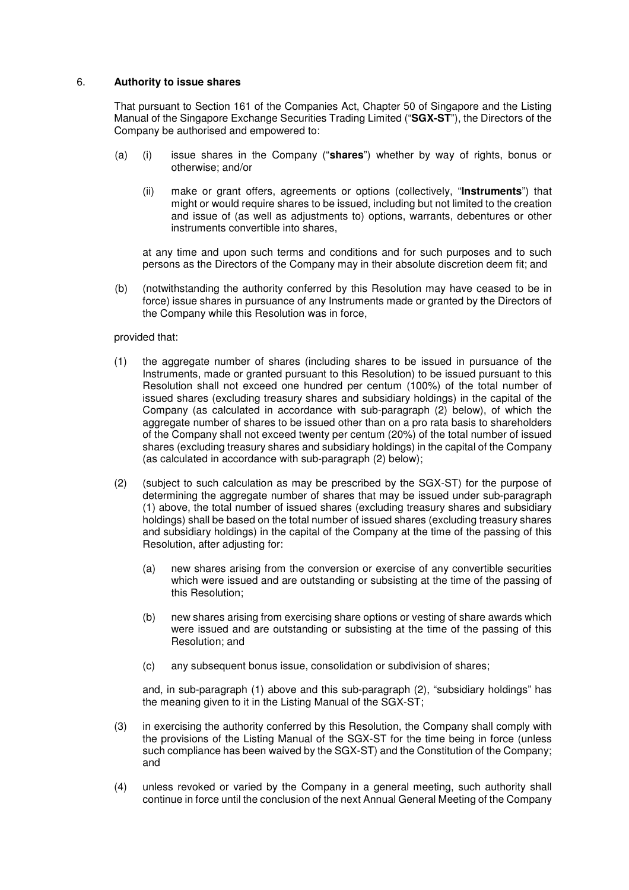# 6. **Authority to issue shares**

That pursuant to Section 161 of the Companies Act, Chapter 50 of Singapore and the Listing Manual of the Singapore Exchange Securities Trading Limited ("**SGX-ST**"), the Directors of the Company be authorised and empowered to:

- (a) (i) issue shares in the Company ("**shares**") whether by way of rights, bonus or otherwise; and/or
	- (ii) make or grant offers, agreements or options (collectively, "**Instruments**") that might or would require shares to be issued, including but not limited to the creation and issue of (as well as adjustments to) options, warrants, debentures or other instruments convertible into shares,

at any time and upon such terms and conditions and for such purposes and to such persons as the Directors of the Company may in their absolute discretion deem fit; and

(b) (notwithstanding the authority conferred by this Resolution may have ceased to be in force) issue shares in pursuance of any Instruments made or granted by the Directors of the Company while this Resolution was in force,

#### provided that:

- (1) the aggregate number of shares (including shares to be issued in pursuance of the Instruments, made or granted pursuant to this Resolution) to be issued pursuant to this Resolution shall not exceed one hundred per centum (100%) of the total number of issued shares (excluding treasury shares and subsidiary holdings) in the capital of the Company (as calculated in accordance with sub-paragraph (2) below), of which the aggregate number of shares to be issued other than on a pro rata basis to shareholders of the Company shall not exceed twenty per centum (20%) of the total number of issued shares (excluding treasury shares and subsidiary holdings) in the capital of the Company (as calculated in accordance with sub-paragraph (2) below);
- (2) (subject to such calculation as may be prescribed by the SGX-ST) for the purpose of determining the aggregate number of shares that may be issued under sub-paragraph (1) above, the total number of issued shares (excluding treasury shares and subsidiary holdings) shall be based on the total number of issued shares (excluding treasury shares and subsidiary holdings) in the capital of the Company at the time of the passing of this Resolution, after adjusting for:
	- (a) new shares arising from the conversion or exercise of any convertible securities which were issued and are outstanding or subsisting at the time of the passing of this Resolution;
	- (b) new shares arising from exercising share options or vesting of share awards which were issued and are outstanding or subsisting at the time of the passing of this Resolution; and
	- (c) any subsequent bonus issue, consolidation or subdivision of shares;

and, in sub-paragraph (1) above and this sub-paragraph (2), "subsidiary holdings" has the meaning given to it in the Listing Manual of the SGX-ST;

- (3) in exercising the authority conferred by this Resolution, the Company shall comply with the provisions of the Listing Manual of the SGX-ST for the time being in force (unless such compliance has been waived by the SGX-ST) and the Constitution of the Company; and
- (4) unless revoked or varied by the Company in a general meeting, such authority shall continue in force until the conclusion of the next Annual General Meeting of the Company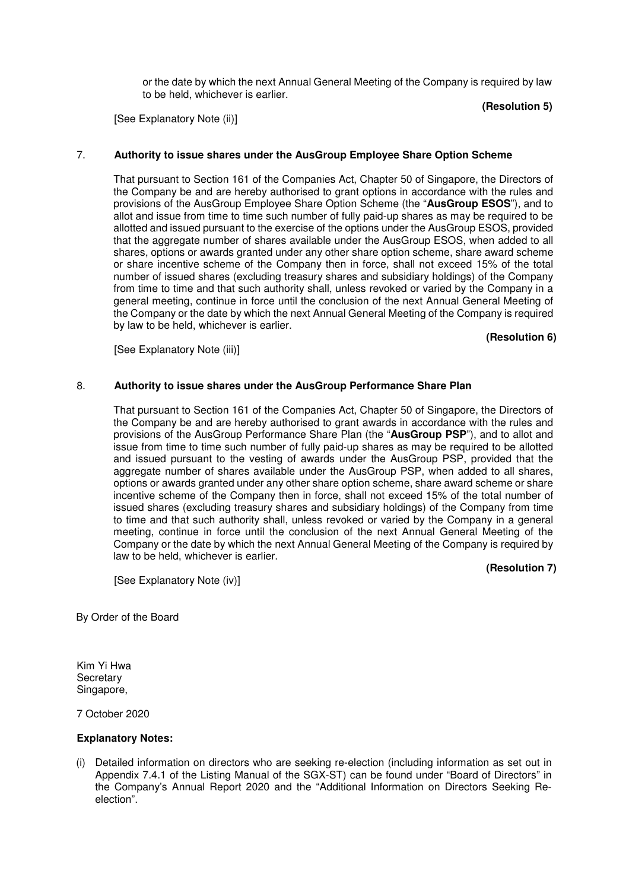or the date by which the next Annual General Meeting of the Company is required by law to be held, whichever is earlier.

[See Explanatory Note (ii)]

# **(Resolution 5)**

# 7. **Authority to issue shares under the AusGroup Employee Share Option Scheme**

That pursuant to Section 161 of the Companies Act, Chapter 50 of Singapore, the Directors of the Company be and are hereby authorised to grant options in accordance with the rules and provisions of the AusGroup Employee Share Option Scheme (the "**AusGroup ESOS**"), and to allot and issue from time to time such number of fully paid-up shares as may be required to be allotted and issued pursuant to the exercise of the options under the AusGroup ESOS, provided that the aggregate number of shares available under the AusGroup ESOS, when added to all shares, options or awards granted under any other share option scheme, share award scheme or share incentive scheme of the Company then in force, shall not exceed 15% of the total number of issued shares (excluding treasury shares and subsidiary holdings) of the Company from time to time and that such authority shall, unless revoked or varied by the Company in a general meeting, continue in force until the conclusion of the next Annual General Meeting of the Company or the date by which the next Annual General Meeting of the Company is required by law to be held, whichever is earlier.

[See Explanatory Note (iii)]

## 8. **Authority to issue shares under the AusGroup Performance Share Plan**

That pursuant to Section 161 of the Companies Act, Chapter 50 of Singapore, the Directors of the Company be and are hereby authorised to grant awards in accordance with the rules and provisions of the AusGroup Performance Share Plan (the "**AusGroup PSP**"), and to allot and issue from time to time such number of fully paid-up shares as may be required to be allotted and issued pursuant to the vesting of awards under the AusGroup PSP, provided that the aggregate number of shares available under the AusGroup PSP, when added to all shares, options or awards granted under any other share option scheme, share award scheme or share incentive scheme of the Company then in force, shall not exceed 15% of the total number of issued shares (excluding treasury shares and subsidiary holdings) of the Company from time to time and that such authority shall, unless revoked or varied by the Company in a general meeting, continue in force until the conclusion of the next Annual General Meeting of the Company or the date by which the next Annual General Meeting of the Company is required by law to be held, whichever is earlier.

 **(Resolution 7)** 

 **(Resolution 6)** 

[See Explanatory Note (iv)]

By Order of the Board

Kim Yi Hwa **Secretary** Singapore,

7 October 2020

#### **Explanatory Notes:**

(i) Detailed information on directors who are seeking re-election (including information as set out in Appendix 7.4.1 of the Listing Manual of the SGX-ST) can be found under "Board of Directors" in the Company's Annual Report 2020 and the "Additional Information on Directors Seeking Reelection".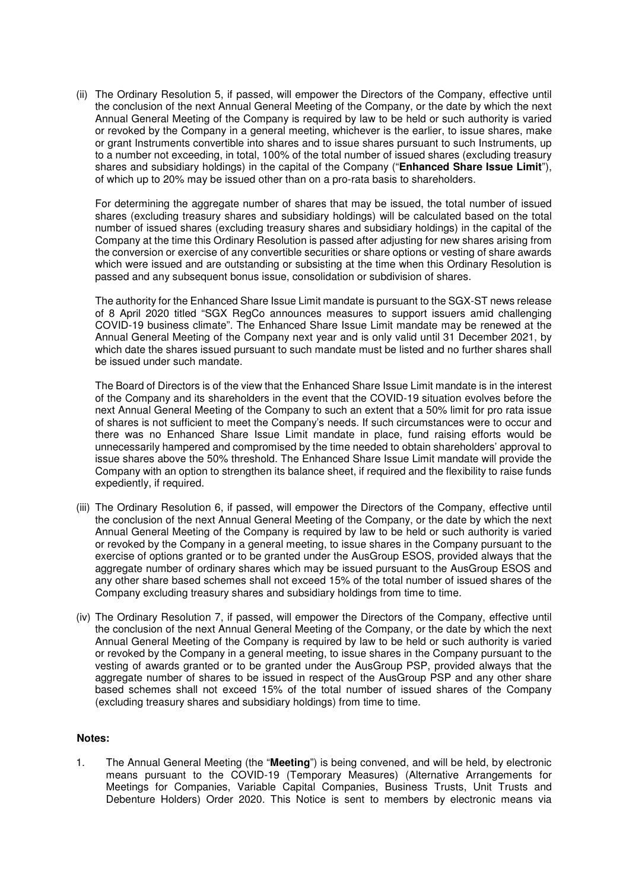(ii) The Ordinary Resolution 5, if passed, will empower the Directors of the Company, effective until the conclusion of the next Annual General Meeting of the Company, or the date by which the next Annual General Meeting of the Company is required by law to be held or such authority is varied or revoked by the Company in a general meeting, whichever is the earlier, to issue shares, make or grant Instruments convertible into shares and to issue shares pursuant to such Instruments, up to a number not exceeding, in total, 100% of the total number of issued shares (excluding treasury shares and subsidiary holdings) in the capital of the Company ("**Enhanced Share Issue Limit**"), of which up to 20% may be issued other than on a pro-rata basis to shareholders.

For determining the aggregate number of shares that may be issued, the total number of issued shares (excluding treasury shares and subsidiary holdings) will be calculated based on the total number of issued shares (excluding treasury shares and subsidiary holdings) in the capital of the Company at the time this Ordinary Resolution is passed after adjusting for new shares arising from the conversion or exercise of any convertible securities or share options or vesting of share awards which were issued and are outstanding or subsisting at the time when this Ordinary Resolution is passed and any subsequent bonus issue, consolidation or subdivision of shares.

The authority for the Enhanced Share Issue Limit mandate is pursuant to the SGX-ST news release of 8 April 2020 titled "SGX RegCo announces measures to support issuers amid challenging COVID-19 business climate". The Enhanced Share Issue Limit mandate may be renewed at the Annual General Meeting of the Company next year and is only valid until 31 December 2021, by which date the shares issued pursuant to such mandate must be listed and no further shares shall be issued under such mandate.

The Board of Directors is of the view that the Enhanced Share Issue Limit mandate is in the interest of the Company and its shareholders in the event that the COVID-19 situation evolves before the next Annual General Meeting of the Company to such an extent that a 50% limit for pro rata issue of shares is not sufficient to meet the Company's needs. If such circumstances were to occur and there was no Enhanced Share Issue Limit mandate in place, fund raising efforts would be unnecessarily hampered and compromised by the time needed to obtain shareholders' approval to issue shares above the 50% threshold. The Enhanced Share Issue Limit mandate will provide the Company with an option to strengthen its balance sheet, if required and the flexibility to raise funds expediently, if required.

- (iii) The Ordinary Resolution 6, if passed, will empower the Directors of the Company, effective until the conclusion of the next Annual General Meeting of the Company, or the date by which the next Annual General Meeting of the Company is required by law to be held or such authority is varied or revoked by the Company in a general meeting, to issue shares in the Company pursuant to the exercise of options granted or to be granted under the AusGroup ESOS, provided always that the aggregate number of ordinary shares which may be issued pursuant to the AusGroup ESOS and any other share based schemes shall not exceed 15% of the total number of issued shares of the Company excluding treasury shares and subsidiary holdings from time to time.
- (iv) The Ordinary Resolution 7, if passed, will empower the Directors of the Company, effective until the conclusion of the next Annual General Meeting of the Company, or the date by which the next Annual General Meeting of the Company is required by law to be held or such authority is varied or revoked by the Company in a general meeting, to issue shares in the Company pursuant to the vesting of awards granted or to be granted under the AusGroup PSP, provided always that the aggregate number of shares to be issued in respect of the AusGroup PSP and any other share based schemes shall not exceed 15% of the total number of issued shares of the Company (excluding treasury shares and subsidiary holdings) from time to time.

#### **Notes:**

1. The Annual General Meeting (the "**Meeting**") is being convened, and will be held, by electronic means pursuant to the COVID-19 (Temporary Measures) (Alternative Arrangements for Meetings for Companies, Variable Capital Companies, Business Trusts, Unit Trusts and Debenture Holders) Order 2020. This Notice is sent to members by electronic means via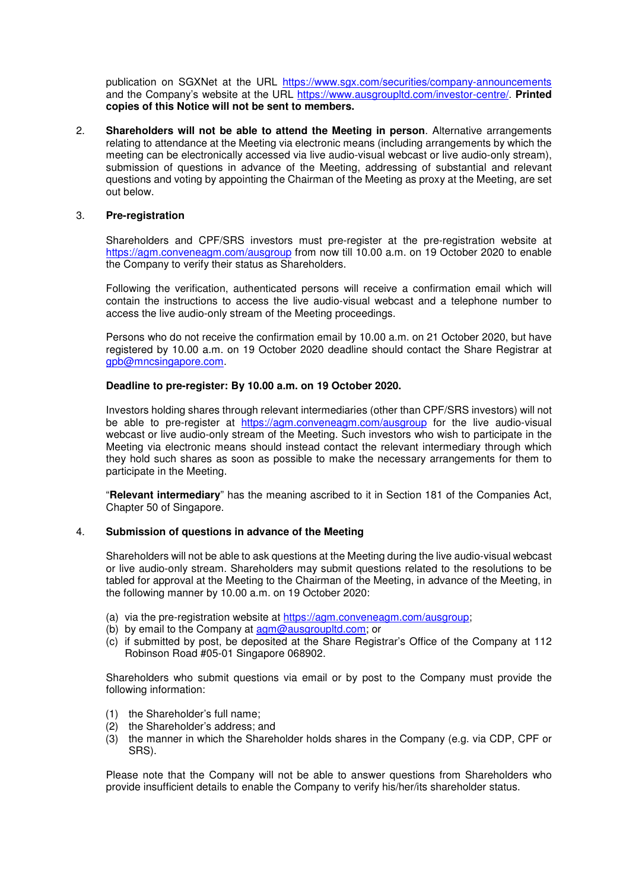publication on SGXNet at the URL https://www.sgx.com/securities/company-announcements and the Company's website at the URL https://www.ausgroupltd.com/investor-centre/. **Printed copies of this Notice will not be sent to members.**

2. **Shareholders will not be able to attend the Meeting in person**. Alternative arrangements relating to attendance at the Meeting via electronic means (including arrangements by which the meeting can be electronically accessed via live audio-visual webcast or live audio-only stream), submission of questions in advance of the Meeting, addressing of substantial and relevant questions and voting by appointing the Chairman of the Meeting as proxy at the Meeting, are set out below.

## 3. **Pre-registration**

 Shareholders and CPF/SRS investors must pre-register at the pre-registration website at https://agm.conveneagm.com/ausgroup from now till 10.00 a.m. on 19 October 2020 to enable the Company to verify their status as Shareholders.

 Following the verification, authenticated persons will receive a confirmation email which will contain the instructions to access the live audio-visual webcast and a telephone number to access the live audio-only stream of the Meeting proceedings.

 Persons who do not receive the confirmation email by 10.00 a.m. on 21 October 2020, but have registered by 10.00 a.m. on 19 October 2020 deadline should contact the Share Registrar at gpb@mncsingapore.com.

## **Deadline to pre-register: By 10.00 a.m. on 19 October 2020.**

Investors holding shares through relevant intermediaries (other than CPF/SRS investors) will not be able to pre-register at https://agm.conveneagm.com/ausgroup for the live audio-visual webcast or live audio-only stream of the Meeting. Such investors who wish to participate in the Meeting via electronic means should instead contact the relevant intermediary through which they hold such shares as soon as possible to make the necessary arrangements for them to participate in the Meeting.

"**Relevant intermediary**" has the meaning ascribed to it in Section 181 of the Companies Act, Chapter 50 of Singapore.

#### 4. **Submission of questions in advance of the Meeting**

 Shareholders will not be able to ask questions at the Meeting during the live audio-visual webcast or live audio-only stream. Shareholders may submit questions related to the resolutions to be tabled for approval at the Meeting to the Chairman of the Meeting, in advance of the Meeting, in the following manner by 10.00 a.m. on 19 October 2020:

- (a) via the pre-registration website at https://agm.conveneagm.com/ausgroup;
- (b) by email to the Company at  $\frac{\text{a}}{\text{a}}$  ausgroupltd.com; or
- (c) if submitted by post, be deposited at the Share Registrar's Office of the Company at 112 Robinson Road #05-01 Singapore 068902.

 Shareholders who submit questions via email or by post to the Company must provide the following information:

- (1) the Shareholder's full name;
- (2) the Shareholder's address; and
- (3) the manner in which the Shareholder holds shares in the Company (e.g. via CDP, CPF or SRS).

Please note that the Company will not be able to answer questions from Shareholders who provide insufficient details to enable the Company to verify his/her/its shareholder status.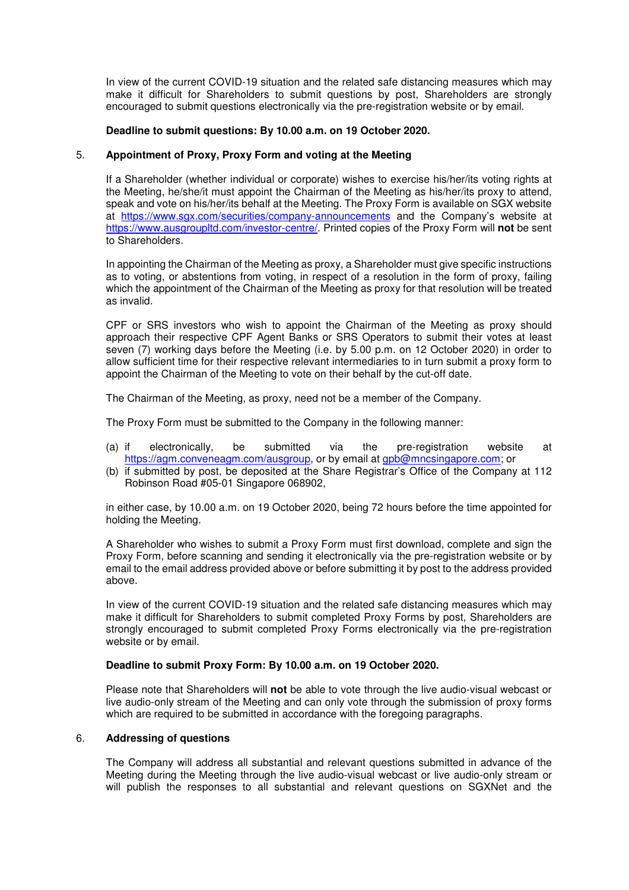In view of the current COVID-19 situation and the related safe distancing measures which may make it difficult for Shareholders to submit questions by post, Shareholders are strongly encouraged to submit questions electronically via the pre-registration website or by email.

## **Deadline to submit questions: By 10.00 a.m. on 19 October 2020.**

# 5. **Appointment of Proxy, Proxy Form and voting at the Meeting**

If a Shareholder (whether individual or corporate) wishes to exercise his/her/its voting rights at the Meeting, he/she/it must appoint the Chairman of the Meeting as his/her/its proxy to attend, speak and vote on his/her/its behalf at the Meeting. The Proxy Form is available on SGX website at https://www.sgx.com/securities/company-announcements and the Company's website at https://www.ausgroupltd.com/investor-centre/. Printed copies of the Proxy Form will **not** be sent to Shareholders.

In appointing the Chairman of the Meeting as proxy, a Shareholder must give specific instructions as to voting, or abstentions from voting, in respect of a resolution in the form of proxy, failing which the appointment of the Chairman of the Meeting as proxy for that resolution will be treated as invalid.

CPF or SRS investors who wish to appoint the Chairman of the Meeting as proxy should approach their respective CPF Agent Banks or SRS Operators to submit their votes at least seven (7) working days before the Meeting (i.e. by 5.00 p.m. on 12 October 2020) in order to allow sufficient time for their respective relevant intermediaries to in turn submit a proxy form to appoint the Chairman of the Meeting to vote on their behalf by the cut-off date.

The Chairman of the Meeting, as proxy, need not be a member of the Company.

The Proxy Form must be submitted to the Company in the following manner:

- (a) if electronically, be submitted via the pre-registration website at https://agm.conveneagm.com/ausgroup, or by email at gpb@mncsingapore.com; or
- (b) if submitted by post, be deposited at the Share Registrar's Office of the Company at 112 Robinson Road #05-01 Singapore 068902,

in either case, by 10.00 a.m. on 19 October 2020, being 72 hours before the time appointed for holding the Meeting.

A Shareholder who wishes to submit a Proxy Form must first download, complete and sign the Proxy Form, before scanning and sending it electronically via the pre-registration website or by email to the email address provided above or before submitting it by post to the address provided above.

In view of the current COVID-19 situation and the related safe distancing measures which may make it difficult for Shareholders to submit completed Proxy Forms by post, Shareholders are strongly encouraged to submit completed Proxy Forms electronically via the pre-registration website or by email.

# **Deadline to submit Proxy Form: By 10.00 a.m. on 19 October 2020.**

Please note that Shareholders will **not** be able to vote through the live audio-visual webcast or live audio-only stream of the Meeting and can only vote through the submission of proxy forms which are required to be submitted in accordance with the foregoing paragraphs.

#### 6. **Addressing of questions**

The Company will address all substantial and relevant questions submitted in advance of the Meeting during the Meeting through the live audio-visual webcast or live audio-only stream or will publish the responses to all substantial and relevant questions on SGXNet and the